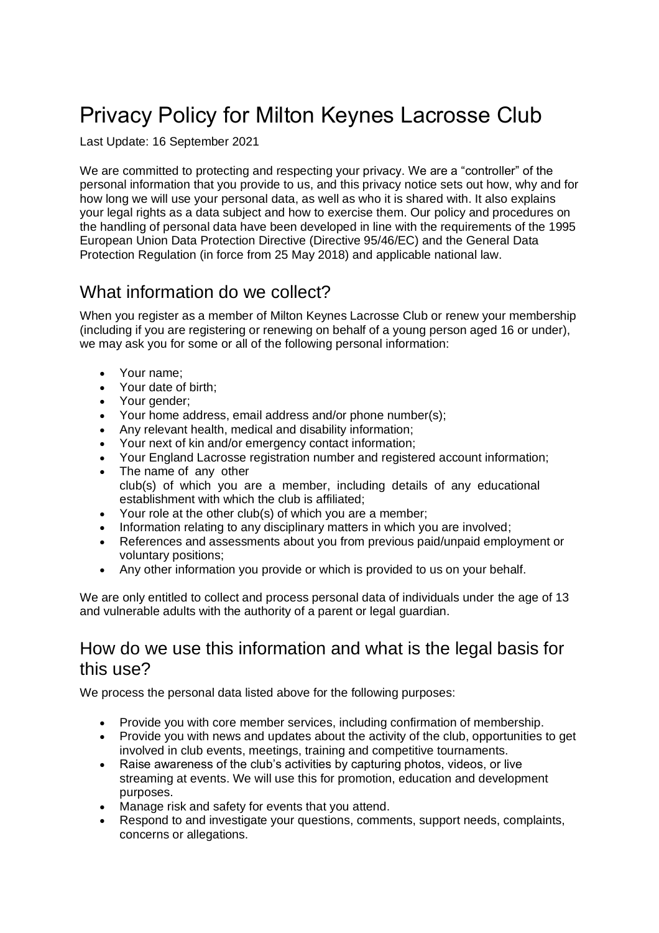# Privacy Policy for Milton Keynes Lacrosse Club

Last Update: 16 September 2021

We are committed to protecting and respecting your privacy. We are a "controller" of the personal information that you provide to us, and this privacy notice sets out how, why and for how long we will use your personal data, as well as who it is shared with. It also explains your legal rights as a data subject and how to exercise them. Our policy and procedures on the handling of personal data have been developed in line with the requirements of the 1995 European Union Data Protection Directive (Directive 95/46/EC) and the General Data Protection Regulation (in force from 25 May 2018) and applicable national law.

## What information do we collect?

When you register as a member of Milton Keynes Lacrosse Club or renew your membership (including if you are registering or renewing on behalf of a young person aged 16 or under), we may ask you for some or all of the following personal information:

- Your name;
- Your date of birth;
- Your gender;
- Your home address, email address and/or phone number(s);
- Any relevant health, medical and disability information;
- Your next of kin and/or emergency contact information;
- Your England Lacrosse registration number and registered account information;
- The name of any other club(s) of which you are a member, including details of any educational establishment with which the club is affiliated;
- Your role at the other club(s) of which you are a member;
- Information relating to any disciplinary matters in which you are involved;
- References and assessments about you from previous paid/unpaid employment or voluntary positions;
- Any other information you provide or which is provided to us on your behalf.

We are only entitled to collect and process personal data of individuals under the age of 13 and vulnerable adults with the authority of a parent or legal guardian.

#### How do we use this information and what is the legal basis for this use?

We process the personal data listed above for the following purposes:

- Provide you with core member services, including confirmation of membership.
- Provide you with news and updates about the activity of the club, opportunities to get involved in club events, meetings, training and competitive tournaments.
- Raise awareness of the club's activities by capturing photos, videos, or live streaming at events. We will use this for promotion, education and development purposes.
- Manage risk and safety for events that you attend.
- Respond to and investigate your questions, comments, support needs, complaints, concerns or allegations.